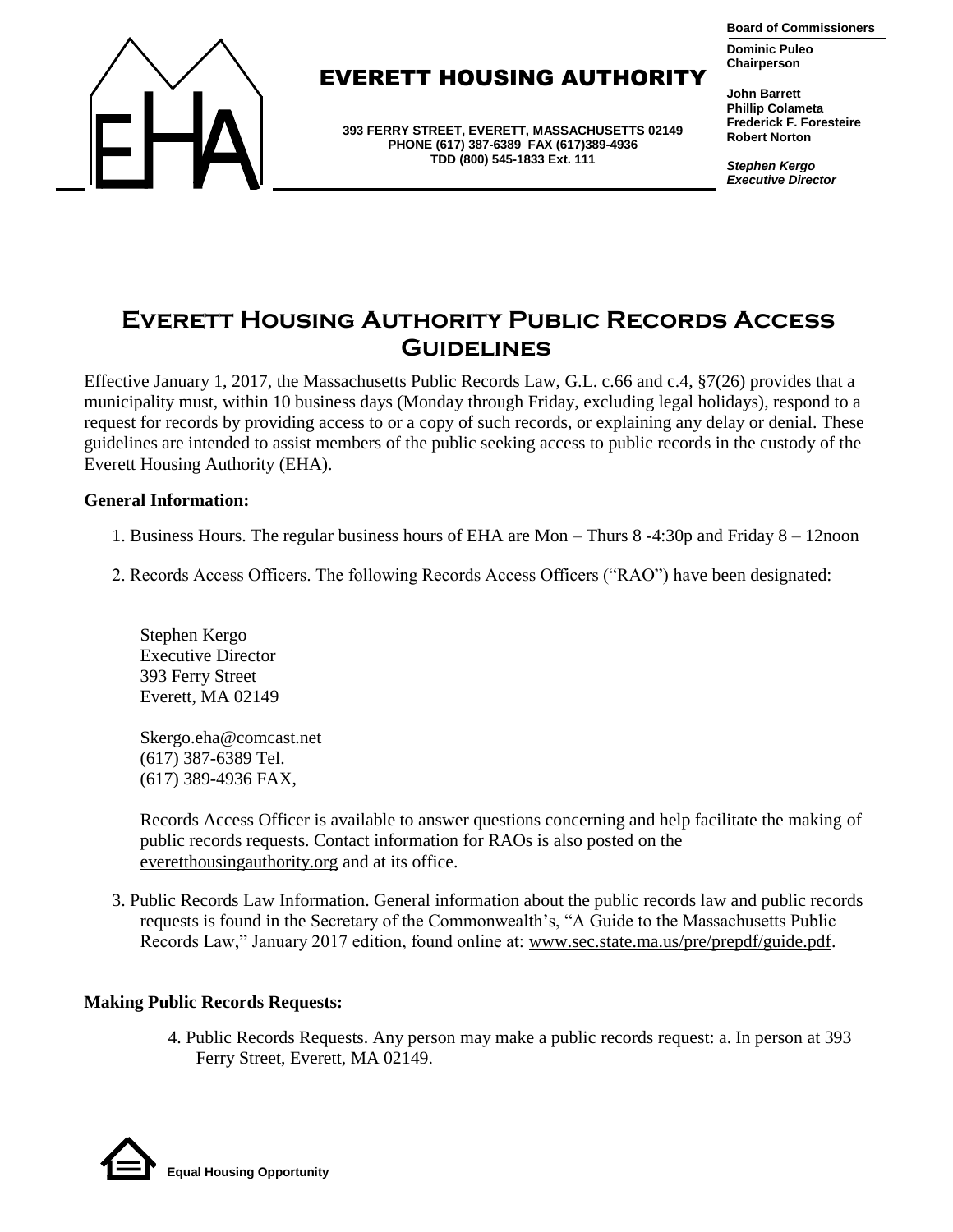



## **EVERETT HOUSING AUTHORIT**

**393 FERRY STREET, EVERETT, MASSACHUSETTS 02149 PHONE (617) 387-6389 FAX (617)389-4936 TDD (800) 545-1833 Ext. 111**

**John Barrett Phillip Colameta Frederick F. Foresteire Robert Norton**

**Chairperson**

*Stephen Kergo Executive Director*

# **Everett Housing Authority Public Records Access Guidelines**

Effective January 1, 2017, the Massachusetts Public Records Law, G.L. c.66 and c.4, §7(26) provides that a municipality must, within 10 business days (Monday through Friday, excluding legal holidays), respond to a request for records by providing access to or a copy of such records, or explaining any delay or denial. These guidelines are intended to assist members of the public seeking access to public records in the custody of the Everett Housing Authority (EHA).

#### **General Information:**

- 1. Business Hours. The regular business hours of EHA are Mon Thurs 8 -4:30p and Friday 8 12noon
- 2. Records Access Officers. The following Records Access Officers ("RAO") have been designated:

Stephen Kergo Executive Director 393 Ferry Street Everett, MA 02149

Skergo.eha@comcast.net (617) 387-6389 Tel. (617) 389-4936 FAX,

Records Access Officer is available to answer questions concerning and help facilitate the making of public records requests. Contact information for RAOs is also posted on the everetthousingauthority.org and at its office.

3. Public Records Law Information. General information about the public records law and public records requests is found in the Secretary of the Commonwealth's, "A Guide to the Massachusetts Public Records Law," January 2017 edition, found online at: www.sec.state.ma.us/pre/prepdf/guide.pdf.

### **Making Public Records Requests:**

4. Public Records Requests. Any person may make a public records request: a. In person at 393 Ferry Street, Everett, MA 02149.

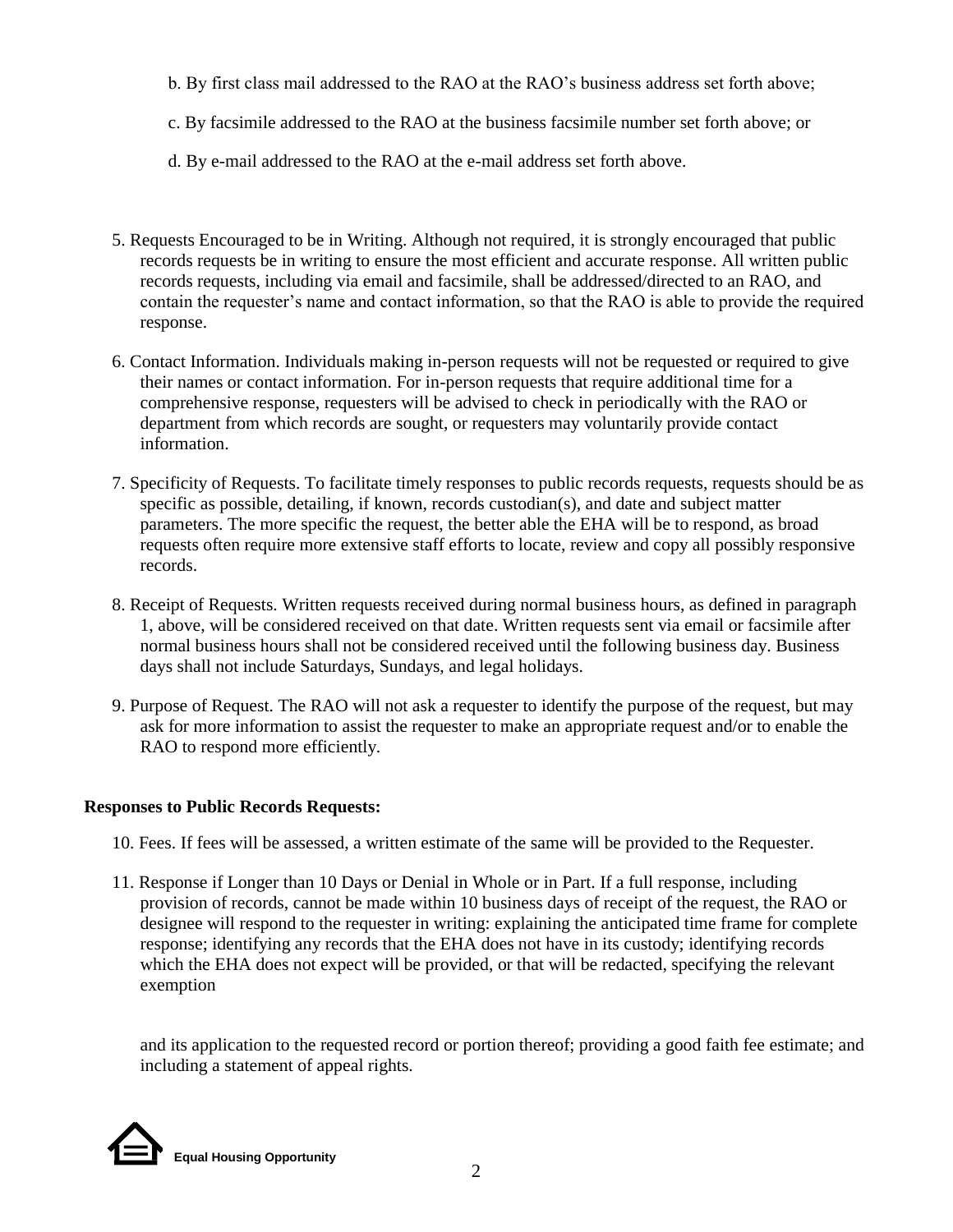- b. By first class mail addressed to the RAO at the RAO's business address set forth above;
- c. By facsimile addressed to the RAO at the business facsimile number set forth above; or
- d. By e-mail addressed to the RAO at the e-mail address set forth above.
- 5. Requests Encouraged to be in Writing. Although not required, it is strongly encouraged that public records requests be in writing to ensure the most efficient and accurate response. All written public records requests, including via email and facsimile, shall be addressed/directed to an RAO, and contain the requester's name and contact information, so that the RAO is able to provide the required response.
- 6. Contact Information. Individuals making in-person requests will not be requested or required to give their names or contact information. For in-person requests that require additional time for a comprehensive response, requesters will be advised to check in periodically with the RAO or department from which records are sought, or requesters may voluntarily provide contact information.
- 7. Specificity of Requests. To facilitate timely responses to public records requests, requests should be as specific as possible, detailing, if known, records custodian(s), and date and subject matter parameters. The more specific the request, the better able the EHA will be to respond, as broad requests often require more extensive staff efforts to locate, review and copy all possibly responsive records.
- 8. Receipt of Requests. Written requests received during normal business hours, as defined in paragraph 1, above, will be considered received on that date. Written requests sent via email or facsimile after normal business hours shall not be considered received until the following business day. Business days shall not include Saturdays, Sundays, and legal holidays.
- 9. Purpose of Request. The RAO will not ask a requester to identify the purpose of the request, but may ask for more information to assist the requester to make an appropriate request and/or to enable the RAO to respond more efficiently.

## **Responses to Public Records Requests:**

- 10. Fees. If fees will be assessed, a written estimate of the same will be provided to the Requester.
- 11. Response if Longer than 10 Days or Denial in Whole or in Part. If a full response, including provision of records, cannot be made within 10 business days of receipt of the request, the RAO or designee will respond to the requester in writing: explaining the anticipated time frame for complete response; identifying any records that the EHA does not have in its custody; identifying records which the EHA does not expect will be provided, or that will be redacted, specifying the relevant exemption

and its application to the requested record or portion thereof; providing a good faith fee estimate; and including a statement of appeal rights.

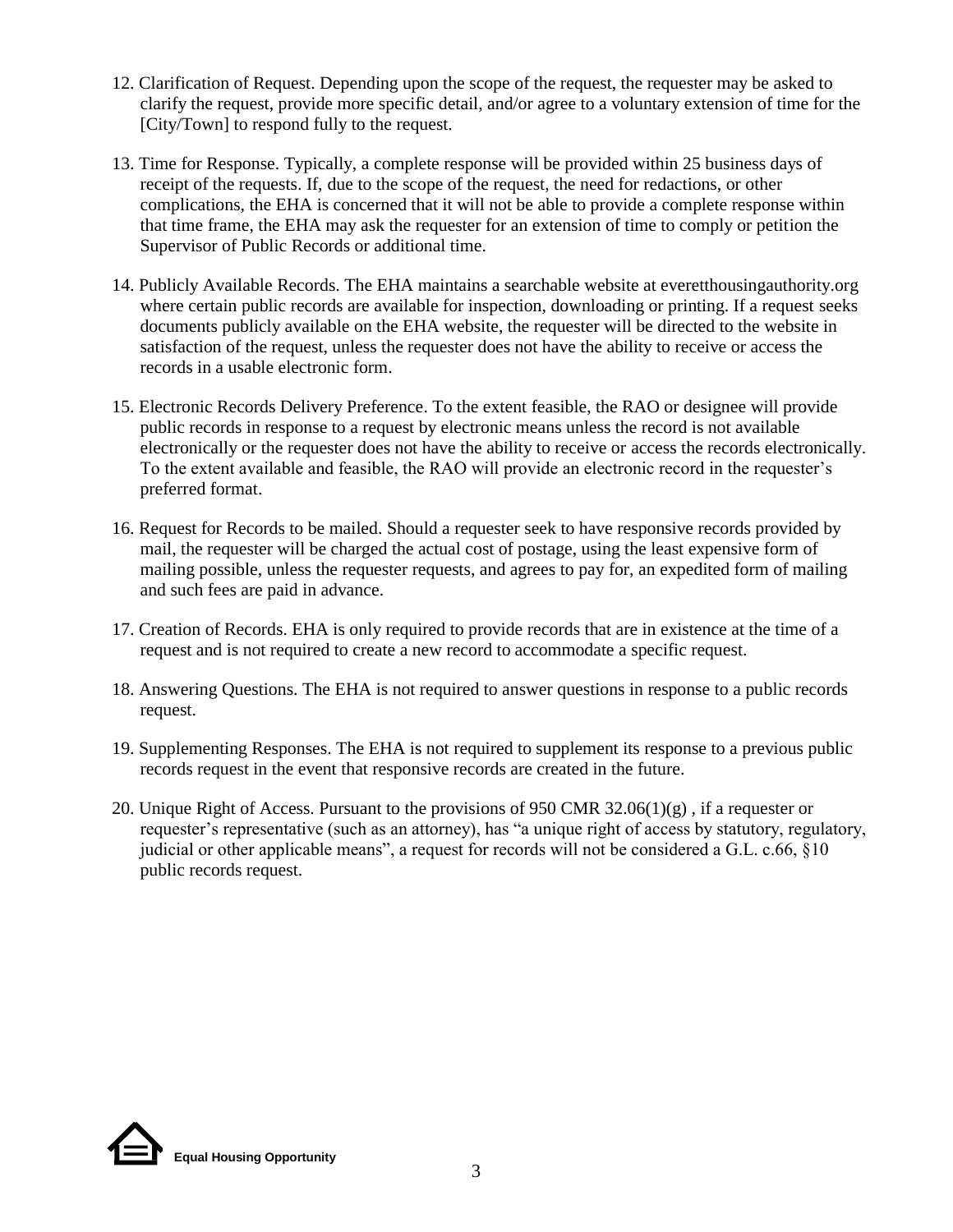- 12. Clarification of Request. Depending upon the scope of the request, the requester may be asked to clarify the request, provide more specific detail, and/or agree to a voluntary extension of time for the [City/Town] to respond fully to the request.
- 13. Time for Response. Typically, a complete response will be provided within 25 business days of receipt of the requests. If, due to the scope of the request, the need for redactions, or other complications, the EHA is concerned that it will not be able to provide a complete response within that time frame, the EHA may ask the requester for an extension of time to comply or petition the Supervisor of Public Records or additional time.
- 14. Publicly Available Records. The EHA maintains a searchable website at everetthousingauthority.org where certain public records are available for inspection, downloading or printing. If a request seeks documents publicly available on the EHA website, the requester will be directed to the website in satisfaction of the request, unless the requester does not have the ability to receive or access the records in a usable electronic form.
- 15. Electronic Records Delivery Preference. To the extent feasible, the RAO or designee will provide public records in response to a request by electronic means unless the record is not available electronically or the requester does not have the ability to receive or access the records electronically. To the extent available and feasible, the RAO will provide an electronic record in the requester's preferred format.
- 16. Request for Records to be mailed. Should a requester seek to have responsive records provided by mail, the requester will be charged the actual cost of postage, using the least expensive form of mailing possible, unless the requester requests, and agrees to pay for, an expedited form of mailing and such fees are paid in advance.
- 17. Creation of Records. EHA is only required to provide records that are in existence at the time of a request and is not required to create a new record to accommodate a specific request.
- 18. Answering Questions. The EHA is not required to answer questions in response to a public records request.
- 19. Supplementing Responses. The EHA is not required to supplement its response to a previous public records request in the event that responsive records are created in the future.
- 20. Unique Right of Access. Pursuant to the provisions of 950 CMR 32.06(1)(g) , if a requester or requester's representative (such as an attorney), has "a unique right of access by statutory, regulatory, judicial or other applicable means", a request for records will not be considered a G.L. c.66, §10 public records request.

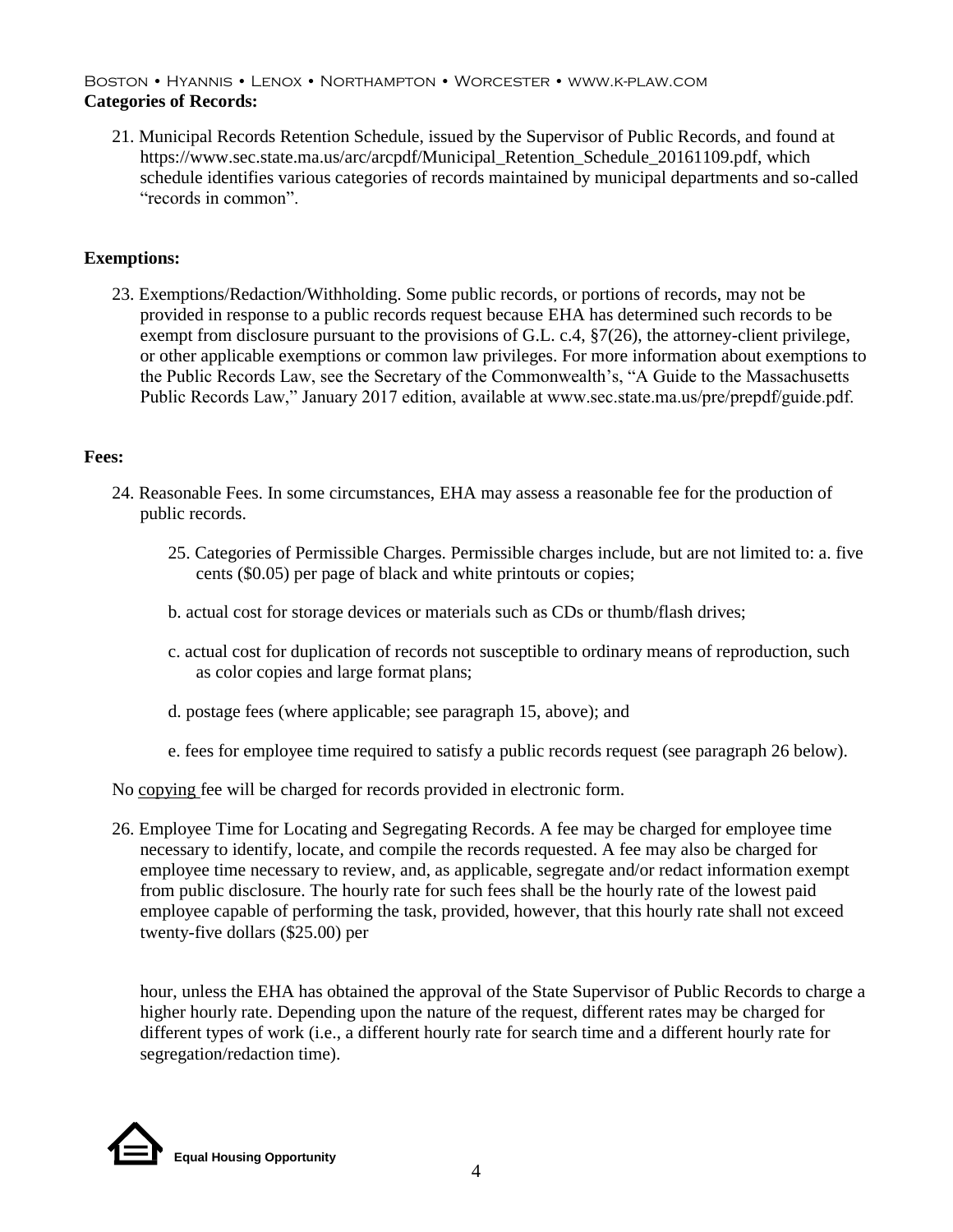### Boston • Hyannis • Lenox • Northampton • Worcester • www.k-plaw.com **Categories of Records:**

21. Municipal Records Retention Schedule, issued by the Supervisor of Public Records, and found at https://www.sec.state.ma.us/arc/arcpdf/Municipal\_Retention\_Schedule\_20161109.pdf, which schedule identifies various categories of records maintained by municipal departments and so-called "records in common".

## **Exemptions:**

23. Exemptions/Redaction/Withholding. Some public records, or portions of records, may not be provided in response to a public records request because EHA has determined such records to be exempt from disclosure pursuant to the provisions of G.L. c.4, §7(26), the attorney-client privilege, or other applicable exemptions or common law privileges. For more information about exemptions to the Public Records Law, see the Secretary of the Commonwealth's, "A Guide to the Massachusetts Public Records Law," January 2017 edition, available at www.sec.state.ma.us/pre/prepdf/guide.pdf.

#### **Fees:**

- 24. Reasonable Fees. In some circumstances, EHA may assess a reasonable fee for the production of public records.
	- 25. Categories of Permissible Charges. Permissible charges include, but are not limited to: a. five cents (\$0.05) per page of black and white printouts or copies;
	- b. actual cost for storage devices or materials such as CDs or thumb/flash drives;
	- c. actual cost for duplication of records not susceptible to ordinary means of reproduction, such as color copies and large format plans;
	- d. postage fees (where applicable; see paragraph 15, above); and
	- e. fees for employee time required to satisfy a public records request (see paragraph 26 below).

No copying fee will be charged for records provided in electronic form.

26. Employee Time for Locating and Segregating Records. A fee may be charged for employee time necessary to identify, locate, and compile the records requested. A fee may also be charged for employee time necessary to review, and, as applicable, segregate and/or redact information exempt from public disclosure. The hourly rate for such fees shall be the hourly rate of the lowest paid employee capable of performing the task, provided, however, that this hourly rate shall not exceed twenty-five dollars (\$25.00) per

hour, unless the EHA has obtained the approval of the State Supervisor of Public Records to charge a higher hourly rate. Depending upon the nature of the request, different rates may be charged for different types of work (i.e., a different hourly rate for search time and a different hourly rate for segregation/redaction time).